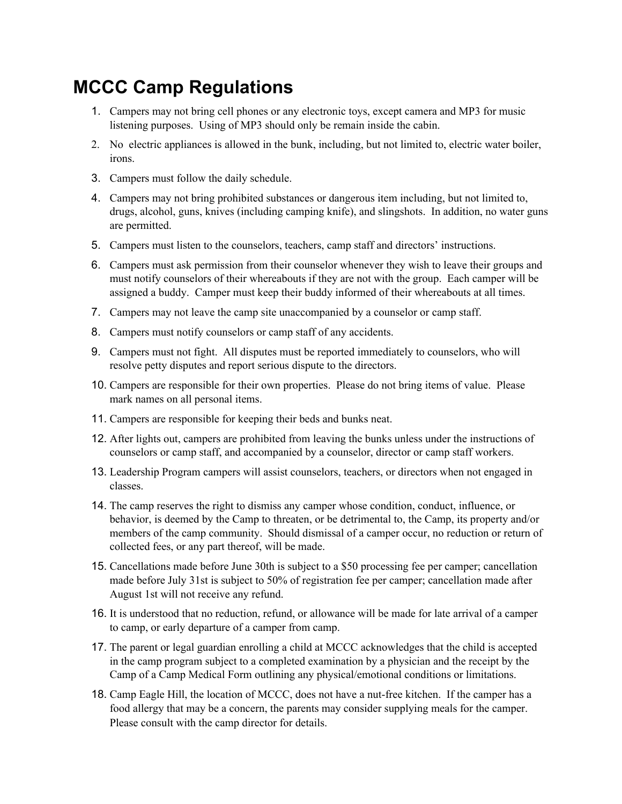## **MCCC Camp Regulations**

- 1. Campers may not bring cell phones or any electronic toys, except camera and MP3 for music listening purposes. Using of MP3 should only be remain inside the cabin.
- 2. No electric appliances is allowed in the bunk, including, but not limited to, electric water boiler, irons.
- 3. Campers must follow the daily schedule.
- 4. Campers may not bring prohibited substances or dangerous item including, but not limited to, drugs, alcohol, guns, knives (including camping knife), and slingshots. In addition, no water guns are permitted.
- 5. Campers must listen to the counselors, teachers, camp staff and directors' instructions.
- 6. Campers must ask permission from their counselor whenever they wish to leave their groups and must notify counselors of their whereabouts if they are not with the group. Each camper will be assigned a buddy. Camper must keep their buddy informed of their whereabouts at all times.
- 7. Campers may not leave the camp site unaccompanied by a counselor or camp staff.
- 8. Campers must notify counselors or camp staff of any accidents.
- 9. Campers must not fight. All disputes must be reported immediately to counselors, who will resolve petty disputes and report serious dispute to the directors.
- 10. Campers are responsible for their own properties. Please do not bring items of value. Please mark names on all personal items.
- 11. Campers are responsible for keeping their beds and bunks neat.
- 12. After lights out, campers are prohibited from leaving the bunks unless under the instructions of counselors or camp staff, and accompanied by a counselor, director or camp staff workers.
- 13. Leadership Program campers will assist counselors, teachers, or directors when not engaged in classes.
- 14. The camp reserves the right to dismiss any camper whose condition, conduct, influence, or behavior, is deemed by the Camp to threaten, or be detrimental to, the Camp, its property and/or members of the camp community. Should dismissal of a camper occur, no reduction or return of collected fees, or any part thereof, will be made.
- 15. Cancellations made before June 30th is subject to a \$50 processing fee per camper; cancellation made before July 31st is subject to 50% of registration fee per camper; cancellation made after August 1st will not receive any refund.
- 16. It is understood that no reduction, refund, or allowance will be made for late arrival of a camper to camp, or early departure of a camper from camp.
- 17. The parent or legal guardian enrolling a child at MCCC acknowledges that the child is accepted in the camp program subject to a completed examination by a physician and the receipt by the Camp of a Camp Medical Form outlining any physical/emotional conditions or limitations.
- 18. Camp Eagle Hill, the location of MCCC, does not have a nutfree kitchen. If the camper has a food allergy that may be a concern, the parents may consider supplying meals for the camper. Please consult with the camp director for details.